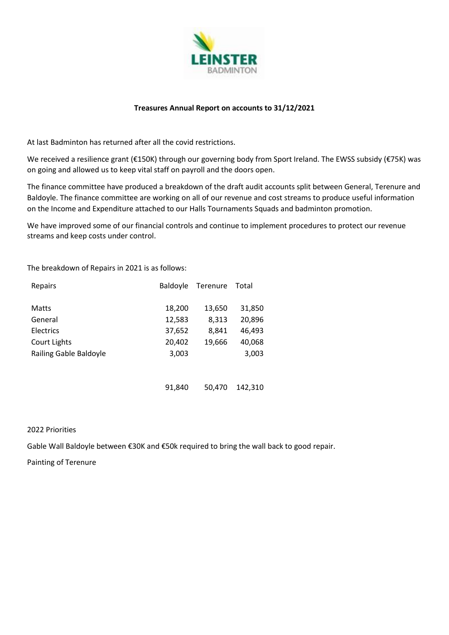

## **Treasures Annual Report on accounts to 31/12/2021**

At last Badminton has returned after all the covid restrictions.

We received a resilience grant (€150K) through our governing body from Sport Ireland. The EWSS subsidy (€75K) was on going and allowed us to keep vital staff on payroll and the doors open.

The finance committee have produced a breakdown of the draft audit accounts split between General, Terenure and Baldoyle. The finance committee are working on all of our revenue and cost streams to produce useful information on the Income and Expenditure attached to our Halls Tournaments Squads and badminton promotion.

We have improved some of our financial controls and continue to implement procedures to protect our revenue streams and keep costs under control.

The breakdown of Repairs in 2021 is as follows:

| Repairs                | <b>Baldoyle</b> | Terenure | Total  |
|------------------------|-----------------|----------|--------|
| <b>Matts</b>           | 18,200          | 13,650   | 31,850 |
| General                | 12,583          | 8,313    | 20,896 |
| Electrics              | 37,652          | 8,841    | 46,493 |
| Court Lights           | 20,402          | 19,666   | 40,068 |
| Railing Gable Baldoyle | 3,003           |          | 3,003  |
|                        |                 |          |        |

91,840 50,470 142,310

## 2022 Priorities

Gable Wall Baldoyle between €30K and €50k required to bring the wall back to good repair.

Painting of Terenure